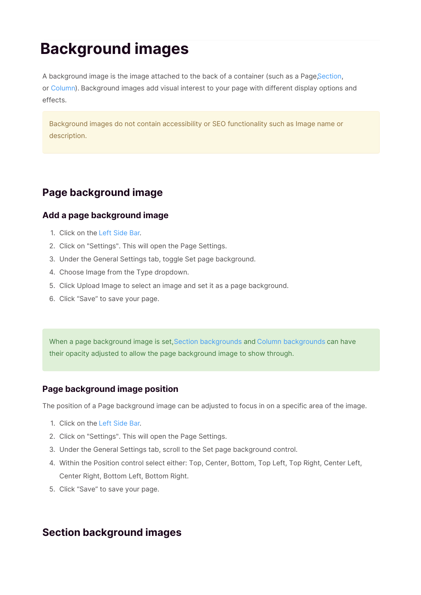# **Background images**

A background image is the image attached to the back of a container (such as a PageSection, or Column). Background images add visual interest to your page with different display options and effects.

Background images do not contain accessibility or SEO functionality such as Image name or description.

# **Page background image**

# **Add a page background image**

- 1. Click on the Left Side Bar.
- 2. Click on "Settings". This will open the Page Settings.
- 3. Under the General Settings tab, toggle Set page background.
- 4. Choose Image from the Type dropdown.
- 5. Click Upload Image to select an image and set it as a page background.
- 6. Click "Save" to save your page.

When a page background image is set,Section backgrounds and Column backgrounds can have their opacity adjusted to allow the page background image to show through.

## **Page background image position**

The position of a Page background image can be adjusted to focus in on a specific area of the image.

- 1. Click on the Left Side Bar.
- 2. Click on "Settings". This will open the Page Settings.
- 3. Under the General Settings tab, scroll to the Set page background control.
- 4. Within the Position control select either: Top, Center, Bottom, Top Left, Top Right, Center Left, Center Right, Bottom Left, Bottom Right.
- 5. Click "Save" to save your page.

# **Section background images**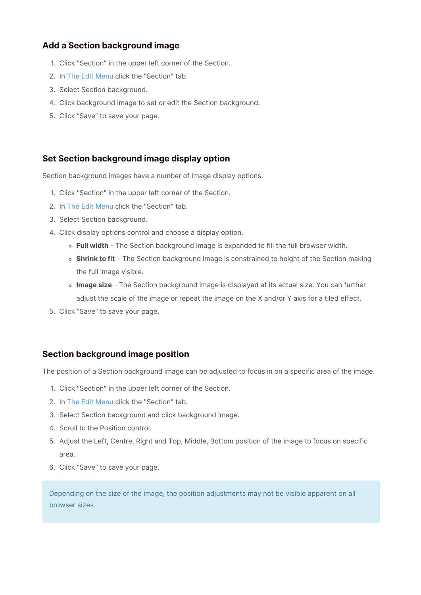## **Add a Section background image**

- 1. Click "Section" in the upper left corner of the Section.
- 2. In The Edit Menu click the "Section" tab.
- 3. Select Section background.
- 4. Click background image to set or edit the Section background.
- 5. Click "Save" to save your page.

# **Set Section background image display option**

Section background images have a number of image display options.

- 1. Click "Section" in the upper left corner of the Section.
- 2. In The Edit Menu click the "Section" tab.
- 3. Select Section background.
- 4. Click display options control and choose a display option.
	- **Full width** The Section background image is expanded to fill the full browser width.
	- **Shrink to fit** The Section background image is constrained to height of the Section making the full image visible.
	- **Image size** The Section background image is displayed at its actual size. You can further adjust the scale of the image or repeat the image on the X and/or Y axis for a tiled effect.
- 5. Click "Save" to save your page.

## **Section background image position**

The position of a Section background image can be adjusted to focus in on a specific area of the image.

- 1. Click "Section" in the upper left corner of the Section.
- 2. In The Edit Menu click the "Section" tab.
- 3. Select Section background and click background image.
- 4. Scroll to the Position control.
- 5. Adjust the Left, Centre, Right and Top, Middle, Bottom position of the image to focus on specific area.
- 6. Click "Save" to save your page.

Depending on the size of the image, the position adjustments may not be visible apparent on all browser sizes.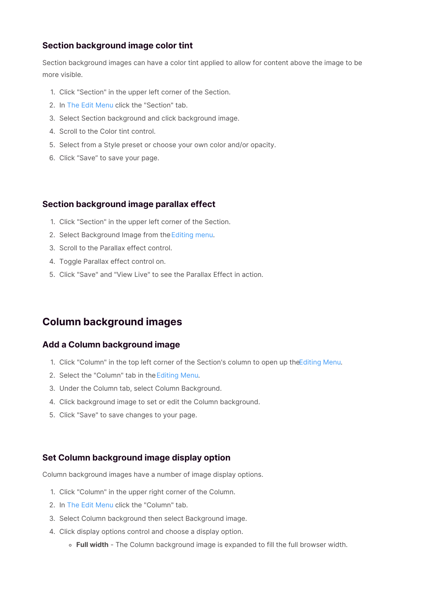# **Section background image color tint**

Section background images can have a color tint applied to allow for content above the image to be more visible.

- 1. Click "Section" in the upper left corner of the Section.
- 2. In The Edit Menu click the "Section" tab.
- 3. Select Section background and click background image.
- 4. Scroll to the Color tint control.
- 5. Select from a Style preset or choose your own color and/or opacity.
- 6. Click "Save" to save your page.

#### **Section background image parallax effect**

- 1. Click "Section" in the upper left corner of the Section.
- 2. Select Background Image from the Editing menu.
- 3. Scroll to the Parallax effect control.
- 4. Toggle Parallax effect control on.
- 5. Click "Save" and "View Live" to see the Parallax Effect in action.

# **Column background images**

#### **Add a Column background image**

- 1. Click "Column" in the top left corner of the Section's column to open up the Editing Menu.
- 2. Select the "Column" tab in theEditing Menu.
- 3. Under the Column tab, select Column Background.
- 4. Click background image to set or edit the Column background.
- 5. Click "Save" to save changes to your page.

#### **Set Column background image display option**

Column background images have a number of image display options.

- 1. Click "Column" in the upper right corner of the Column.
- 2. In The Edit Menu click the "Column" tab.
- 3. Select Column background then select Background image.
- 4. Click display options control and choose a display option.
	- **Full width** The Column background image is expanded to fill the full browser width.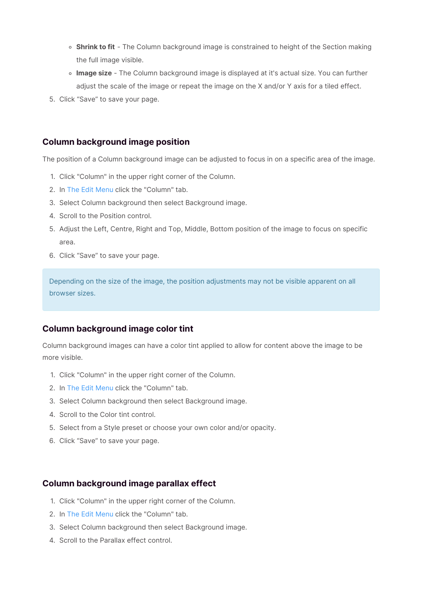- **Shrink to fit** The Column background image is constrained to height of the Section making the full image visible.
- **Image size** The Column background image is displayed at it's actual size. You can further adjust the scale of the image or repeat the image on the X and/or Y axis for a tiled effect.
- 5. Click "Save" to save your page.

#### **Column background image position**

The position of a Column background image can be adjusted to focus in on a specific area of the image.

- 1. Click "Column" in the upper right corner of the Column.
- 2. In The Edit Menu click the "Column" tab.
- 3. Select Column background then select Background image.
- 4. Scroll to the Position control.
- 5. Adjust the Left, Centre, Right and Top, Middle, Bottom position of the image to focus on specific area.
- 6. Click "Save" to save your page.

Depending on the size of the image, the position adjustments may not be visible apparent on all browser sizes.

## **Column background image color tint**

Column background images can have a color tint applied to allow for content above the image to be more visible.

- 1. Click "Column" in the upper right corner of the Column.
- 2. In The Edit Menu click the "Column" tab.
- 3. Select Column background then select Background image.
- 4. Scroll to the Color tint control.
- 5. Select from a Style preset or choose your own color and/or opacity.
- 6. Click "Save" to save your page.

#### **Column background image parallax effect**

- 1. Click "Column" in the upper right corner of the Column.
- 2. In The Edit Menu click the "Column" tab.
- 3. Select Column background then select Background image.
- 4. Scroll to the Parallax effect control.